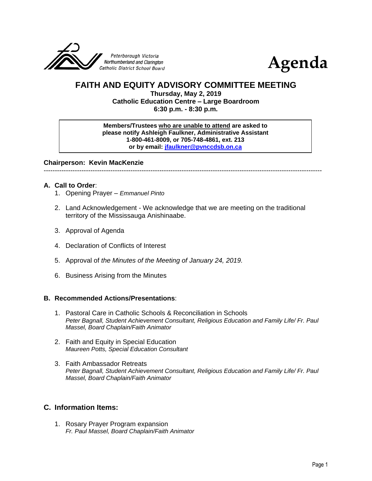



# **FAITH AND EQUITY ADVISORY COMMITTEE MEETING**

**Thursday, May 2, 2019 Catholic Education Centre – Large Boardroom 6:30 p.m. - 8:30 p.m.**

**Members/Trustees who are unable to attend are asked to please notify Ashleigh Faulkner, Administrative Assistant 1-800-461-8009, or 705-748-4861, ext. 213 or by email: [jfaulkner@pvnccdsb.on.ca](mailto:jfaulkner@pvnccdsb.on.ca)**

**Chairperson: Kevin MacKenzie**

-----------------------------------------------------------------------------------------------------------------------------

## **A. Call to Order**:

- 1. Opening Prayer *Emmanuel Pinto*
- 2. Land Acknowledgement We acknowledge that we are meeting on the traditional territory of the Mississauga Anishinaabe.
- 3. Approval of Agenda
- 4. Declaration of Conflicts of Interest
- 5. Approval of *the Minutes of the Meeting of January 24, 2019.*
- 6. Business Arising from the Minutes

## **B. Recommended Actions/Presentations**:

- 1. Pastoral Care in Catholic Schools & Reconciliation in Schools *Peter Bagnall, Student Achievement Consultant, Religious Education and Family Life/ Fr. Paul Massel, Board Chaplain/Faith Animator*
- 2. Faith and Equity in Special Education *Maureen Potts, Special Education Consultant*
- 3. Faith Ambassador Retreats *Peter Bagnall, Student Achievement Consultant, Religious Education and Family Life/ Fr. Paul Massel, Board Chaplain/Faith Animator*

## **C. Information Items:**

1. Rosary Prayer Program expansion *Fr. Paul Massel, Board Chaplain/Faith Animator*